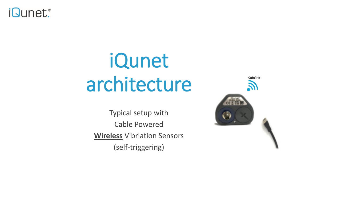

## iQunet architecture

Typical setup with Cable Powered **Wireless** Vibriation Sensors (self-triggering)

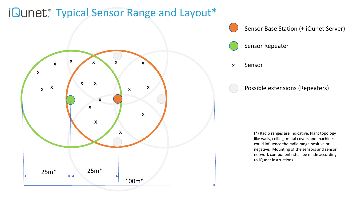## iQunet. Typical Sensor Range and Layout\*



Sensor Base Station (+ iQunet Server)

Sensor Repeater

x Sensor

Possible extensions (Repeaters)

(\*) Radio ranges are indicative. Plant topology like walls, ceiling, metal covers and machines could influence the radio range positive or negative. Mounting of the sensors and sensor network components shall be made according to iQunet instructions.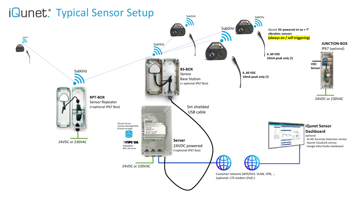